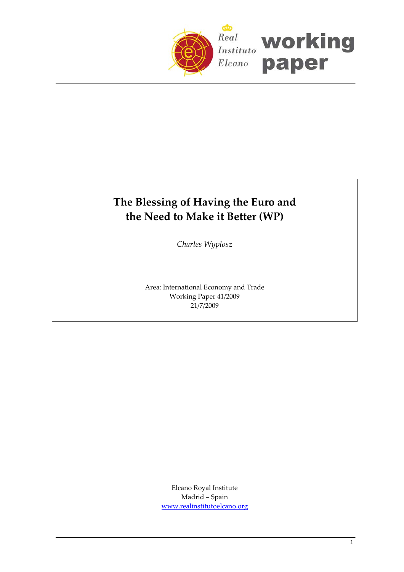

# **The Blessing of Having the Euro and the Need to Make it Better (WP)**

*Charles Wyplosz*

Area: International Economy and Trade Working Paper 41/2009 21/7/2009

> Elcano Royal Institute Madrid – Spain [www.realinstitutoelcano.org](http://www.realinstitutoelcano.org/)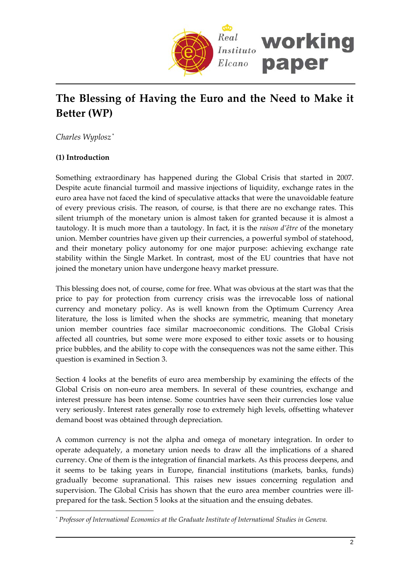

# **The Blessing of Having the Euro and the Need to Make it Better (WP)**

*Charles Wyplosz* [\\*](#page-1-0)

## **(1) Introduction**

 $\overline{a}$ 

Something extraordinary has happened during the Global Crisis that started in 2007. Despite acute financial turmoil and massive injections of liquidity, exchange rates in the euro area have not faced the kind of speculative attacks that were the unavoidable feature of every previous crisis. The reason, of course, is that there are no exchange rates. This silent triumph of the monetary union is almost taken for granted because it is almost a tautology. It is much more than a tautology. In fact, it is the *raison d'être* of the monetary union. Member countries have given up their currencies, a powerful symbol of statehood, and their monetary policy autonomy for one major purpose: achieving exchange rate stability within the Single Market. In contrast, most of the EU countries that have not joined the monetary union have undergone heavy market pressure.

This blessing does not, of course, come for free. What was obvious at the start was that the price to pay for protection from currency crisis was the irrevocable loss of national currency and monetary policy. As is well known from the Optimum Currency Area literature, the loss is limited when the shocks are symmetric, meaning that monetary union member countries face similar macroeconomic conditions. The Global Crisis affected all countries, but some were more exposed to either toxic assets or to housing price bubbles, and the ability to cope with the consequences was not the same either. This question is examined in Section 3.

Section 4 looks at the benefits of euro area membership by examining the effects of the Global Crisis on non‐euro area members. In several of these countries, exchange and interest pressure has been intense. Some countries have seen their currencies lose value very seriously. Interest rates generally rose to extremely high levels, offsetting whatever demand boost was obtained through depreciation.

A common currency is not the alpha and omega of monetary integration. In order to operate adequately, a monetary union needs to draw all the implications of a shared currency. One of them is the integration of financial markets. As this process deepens, and it seems to be taking years in Europe, financial institutions (markets, banks, funds) gradually become supranational. This raises new issues concerning regulation and supervision. The Global Crisis has shown that the euro area member countries were illprepared for the task. Section 5 looks at the situation and the ensuing debates.

<span id="page-1-0"></span>*<sup>\*</sup> Professor of International Economics at the Graduate Institute of International Studies in Geneva.*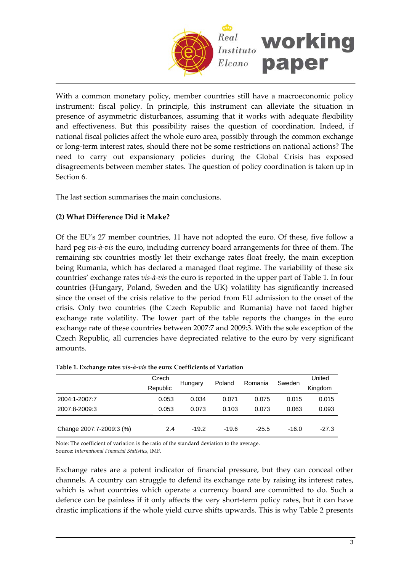

With a common monetary policy, member countries still have a macroeconomic policy instrument: fiscal policy. In principle, this instrument can alleviate the situation in presence of asymmetric disturbances, assuming that it works with adequate flexibility and effectiveness. But this possibility raises the question of coordination. Indeed, if national fiscal policies affect the whole euro area, possibly through the common exchange or long‐term interest rates, should there not be some restrictions on national actions? The need to carry out expansionary policies during the Global Crisis has exposed disagreements between member states. The question of policy coordination is taken up in Section 6.

The last section summarises the main conclusions.

### **(2) What Difference Did it Make?**

Of the EU's 27 member countries, 11 have not adopted the euro. Of these, five follow a hard peg *vis‐à‐vis* the euro, including currency board arrangements for three of them. The remaining six countries mostly let their exchange rates float freely, the main exception being Rumania, which has declared a managed float regime. The variability of these six countries' exchange rates *vis‐à‐vis* the euro is reported in the upper part of [Table](#page-2-0) 1. In four countries (Hungary, Poland, Sweden and the UK) volatility has significantly increased since the onset of the crisis relative to the period from EU admission to the onset of the crisis. Only two countries (the Czech Republic and Rumania) have not faced higher exchange rate volatility. The lower part of the table reports the changes in the euro exchange rate of these countries between 2007:7 and 2009:3. With the sole exception of the Czech Republic, all currencies have depreciated relative to the euro by very significant amounts.

|                          | Czech<br>Republic | Hungary | Poland  | Romania | Sweden  | United<br>Kingdom |
|--------------------------|-------------------|---------|---------|---------|---------|-------------------|
| 2004:1-2007:7            | 0.053             | 0.034   | 0.071   | 0.075   | 0.015   | 0.015             |
| 2007:8-2009:3            | 0.053             | 0.073   | 0.103   | 0.073   | 0.063   | 0.093             |
| Change 2007:7-2009:3 (%) | 2.4               | $-19.2$ | $-19.6$ | $-25.5$ | $-16.0$ | $-27.3$           |

<span id="page-2-0"></span>

|  |  |  | Table 1. Exchange rates vis-à-vis the euro: Coefficients of Variation |
|--|--|--|-----------------------------------------------------------------------|
|  |  |  |                                                                       |

Note: The coefficient of variation is the ratio of the standard deviation to the average. Source: *International Financial Statistics*, IMF.

Exchange rates are a potent indicator of financial pressure, but they can conceal other channels. A country can struggle to defend its exchange rate by raising its interest rates, which is what countries which operate a currency board are committed to do. Such a defence can be painless if it only affects the very short-term policy rates, but it can have drastic implications if the whole yield curve shifts upwards. This is why [Table](#page-3-0) 2 presents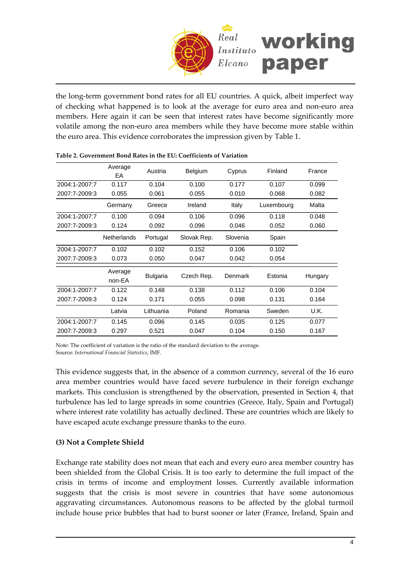

the long‐term government bond rates for all EU countries. A quick, albeit imperfect way of checking what happened is to look at the average for euro area and non‐euro area members. Here again it can be seen that interest rates have become significantly more volatile among the non‐euro area members while they have become more stable within the euro area. This evidence corroborates the impression given by [Table](#page-2-0) 1.

|               | Average<br>EA      | Austria         | Belgium     | Cyprus   | Finland    | France  |
|---------------|--------------------|-----------------|-------------|----------|------------|---------|
| 2004:1-2007:7 | 0.117              | 0.104           | 0.100       | 0.177    | 0.107      | 0.099   |
| 2007:7-2009:3 | 0.055              | 0.061           | 0.055       | 0.010    | 0.068      | 0.082   |
|               | Germany            | Greece          | Ireland     | Italy    | Luxembourg | Malta   |
| 2004:1-2007:7 | 0.100              | 0.094           | 0.106       | 0.096    | 0.118      | 0.048   |
| 2007:7-2009:3 | 0.124              | 0.092           | 0.096       | 0.046    | 0.052      | 0.060   |
|               | <b>Netherlands</b> | Portugal        | Slovak Rep. | Slovenia | Spain      |         |
| 2004:1-2007:7 | 0.102              | 0.102           | 0.152       | 0.106    | 0.102      |         |
| 2007:7-2009:3 | 0.073              | 0.050           | 0.047       | 0.042    | 0.054      |         |
|               | Average<br>non-EA  | <b>Bulgaria</b> | Czech Rep.  | Denmark  | Estonia    | Hungary |
| 2004:1-2007:7 | 0.122              | 0.148           | 0.138       | 0.112    | 0.106      | 0.104   |
| 2007:7-2009:3 | 0.124              | 0.171           | 0.055       | 0.098    | 0.131      | 0.164   |
|               | Latvia             | Lithuania       | Poland      | Romania  | Sweden     | U.K.    |
| 2004:1-2007:7 | 0.145              | 0.096           | 0.145       | 0.035    | 0.125      | 0.077   |
| 2007:7-2009:3 | 0.297              | 0.521           | 0.047       | 0.104    | 0.150      | 0.167   |

<span id="page-3-0"></span>

| Table 2. Government Bond Rates in the EU: Coefficients of Variation |  |  |
|---------------------------------------------------------------------|--|--|
|                                                                     |  |  |

Note: The coefficient of variation is the ratio of the standard deviation to the average. Source: *International Financial Statistics*, IMF.

This evidence suggests that, in the absence of a common currency, several of the 16 euro area member countries would have faced severe turbulence in their foreign exchange markets. This conclusion is strengthened by the observation, presented in Section [4,](#page-3-1) that turbulence has led to large spreads in some countries (Greece, Italy, Spain and Portugal) where interest rate volatility has actually declined. These are countries which are likely to have escaped acute exchange pressure thanks to the euro.

### <span id="page-3-1"></span>**(3) Not a Complete Shield**

Exchange rate stability does not mean that each and every euro area member country has been shielded from the Global Crisis. It is too early to determine the full impact of the crisis in terms of income and employment losses. Currently available information suggests that the crisis is most severe in countries that have some autonomous aggravating circumstances. Autonomous reasons to be affected by the global turmoil include house price bubbles that had to burst sooner or later (France, Ireland, Spain and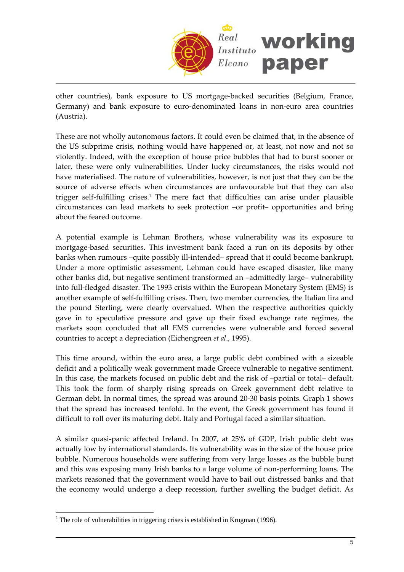

other countries), bank exposure to US mortgage‐backed securities (Belgium, France, Germany) and bank exposure to euro‐denominated loans in non‐euro area countries (Austria).

These are not wholly autonomous factors. It could even be claimed that, in the absence of the US subprime crisis, nothing would have happened or, at least, not now and not so violently. Indeed, with the exception of house price bubbles that had to burst sooner or later, these were only vulnerabilities. Under lucky circumstances, the risks would not have materialised. The nature of vulnerabilities, however, is not just that they can be the source of adverse effects when circumstances are unfavourable but that they can also trigger self‐fulfilling crises.[1](#page-4-0) The mere fact that difficulties can arise under plausible circumstances can lead markets to seek protection –or profit– opportunities and bring about the feared outcome.

A potential example is Lehman Brothers, whose vulnerability was its exposure to mortgage‐based securities. This investment bank faced a run on its deposits by other banks when rumours –quite possibly ill-intended– spread that it could become bankrupt. Under a more optimistic assessment, Lehman could have escaped disaster, like many other banks did, but negative sentiment transformed an –admittedly large– vulnerability into full‐fledged disaster. The 1993 crisis within the European Monetary System (EMS) is another example of self-fulfilling crises. Then, two member currencies, the Italian lira and the pound Sterling, were clearly overvalued. When the respective authorities quickly gave in to speculative pressure and gave up their fixed exchange rate regimes, the markets soon concluded that all EMS currencies were vulnerable and forced several countries to accept a depreciation (Eichengreen *et al*., 1995).

This time around, within the euro area, a large public debt combined with a sizeable deficit and a politically weak government made Greece vulnerable to negative sentiment. In this case, the markets focused on public debt and the risk of –partial or total– default. This took the form of sharply rising spreads on Greek government debt relative to German debt. In normal times, the spread was around 20‐30 basis points. [Graph](#page-5-0) 1 shows that the spread has increased tenfold. In the event, the Greek government has found it difficult to roll over its maturing debt. Italy and Portugal faced a similar situation.

A similar quasi‐panic affected Ireland. In 2007, at 25% of GDP, Irish public debt was actually low by international standards. Its vulnerability was in the size of the house price bubble. Numerous households were suffering from very large losses as the bubble burst and this was exposing many Irish banks to a large volume of non‐performing loans. The markets reasoned that the government would have to bail out distressed banks and that the economy would undergo a deep recession, further swelling the budget deficit. As

 $\overline{a}$ 

<span id="page-4-0"></span><sup>&</sup>lt;sup>1</sup> The role of vulnerabilities in triggering crises is established in Krugman (1996).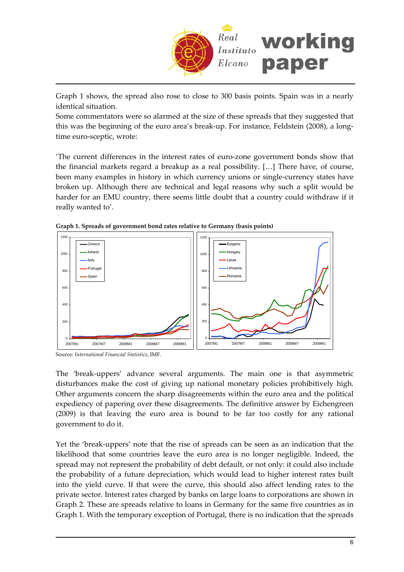

[Graph](#page-5-0) 1 shows, the spread also rose to close to 300 basis points. Spain was in a nearly identical situation.

Some commentators were so alarmed at the size of these spreads that they suggested that this was the beginning of the euro area's break‐up. For instance, Feldstein (2008), a long‐ time euro‐sceptic, wrote:

'The current differences in the interest rates of euro‐zone government bonds show that the financial markets regard a breakup as a real possibility. […] There have, of course, been many examples in history in which currency unions or single‐currency states have broken up. Although there are technical and legal reasons why such a split would be harder for an EMU country, there seems little doubt that a country could withdraw if it really wanted to'.

<span id="page-5-0"></span>



Source: *International Financial Statistics*, IMF.

The 'break-uppers' advance several arguments. The main one is that asymmetric disturbances make the cost of giving up national monetary policies prohibitively high. Other arguments concern the sharp disagreements within the euro area and the political expediency of papering over these disagreements. The definitive answer by Eichengreen (2009) is that leaving the euro area is bound to be far too costly for any rational government to do it.

Yet the 'break‐uppers' note that the rise of spreads can be seen as an indication that the likelihood that some countries leave the euro area is no longer negligible. Indeed, the spread may not represent the probability of debt default, or not only: it could also include the probability of a future depreciation, which would lead to higher interest rates built into the yield curve. If that were the curve, this should also affect lending rates to the private sector. Interest rates charged by banks on large loans to corporations are shown in [Graph](#page-6-0) 2. These are spreads relative to loans in Germany for the same five countries as in [Graph](#page-5-0) 1. With the temporary exception of Portugal, there is no indication that the spreads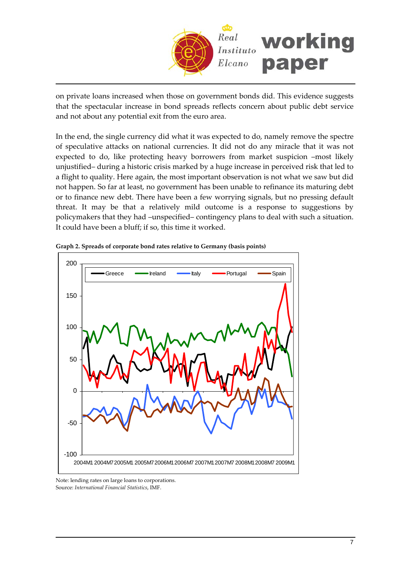

on private loans increased when those on government bonds did. This evidence suggests that the spectacular increase in bond spreads reflects concern about public debt service and not about any potential exit from the euro area.

In the end, the single currency did what it was expected to do, namely remove the spectre of speculative attacks on national currencies. It did not do any miracle that it was not expected to do, like protecting heavy borrowers from market suspicion –most likely unjustified– during a historic crisis marked by a huge increase in perceived risk that led to a flight to quality. Here again, the most important observation is not what we saw but did not happen. So far at least, no government has been unable to refinance its maturing debt or to finance new debt. There have been a few worrying signals, but no pressing default threat. It may be that a relatively mild outcome is a response to suggestions by policymakers that they had –unspecified– contingency plans to deal with such a situation. It could have been a bluff; if so, this time it worked.



<span id="page-6-0"></span>**Graph 2. Spreads of corporate bond rates relative to Germany (basis points)**

Note: lending rates on large loans to corporations. Source: *International Financial Statistics*, IMF.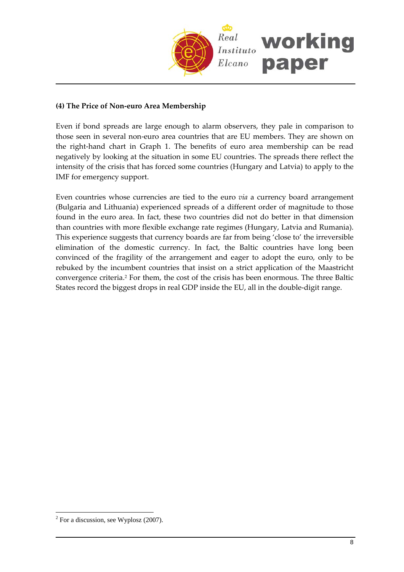

#### **(4) The Price of Non‐euro Area Membership**

Even if bond spreads are large enough to alarm observers, they pale in comparison to those seen in several non‐euro area countries that are EU members. They are shown on the right-hand chart in [Graph](#page-5-0) 1. The benefits of euro area membership can be read negatively by looking at the situation in some EU countries. The spreads there reflect the intensity of the crisis that has forced some countries (Hungary and Latvia) to apply to the IMF for emergency support.

Even countries whose currencies are tied to the euro *via* a currency board arrangement (Bulgaria and Lithuania) experienced spreads of a different order of magnitude to those found in the euro area. In fact, these two countries did not do better in that dimension than countries with more flexible exchange rate regimes (Hungary, Latvia and Rumania). This experience suggests that currency boards are far from being 'close to' the irreversible elimination of the domestic currency. In fact, the Baltic countries have long been convinced of the fragility of the arrangement and eager to adopt the euro, only to be rebuked by the incumbent countries that insist on a strict application of the Maastricht convergence criteria.[2](#page-7-0) For them, the cost of the crisis has been enormous. The three Baltic States record the biggest drops in real GDP inside the EU, all in the double-digit range.

<span id="page-7-0"></span> $\overline{a}$  $2^2$  For a discussion, see Wyplosz (2007).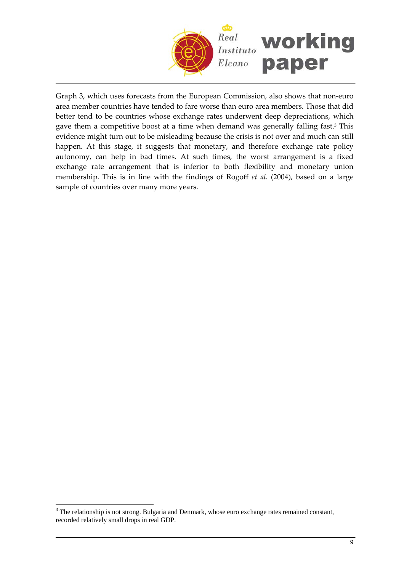

Graph 3, which uses forecasts from the European Commission, also shows that non‐euro area member countries have tended to fare worse than euro area members. Those that did better tend to be countries whose exchange rates underwent deep depreciations, which gave them a competitive boost at a time when demand was generally falling fast.[3](#page-8-0) This evidence might turn out to be misleading because the crisis is not over and much can still happen. At this stage, it suggests that monetary, and therefore exchange rate policy autonomy, can help in bad times. At such times, the worst arrangement is a fixed exchange rate arrangement that is inferior to both flexibility and monetary union membership. This is in line with the findings of Rogoff *et al*. (2004), based on a large sample of countries over many more years.

 $\overline{a}$ 

<span id="page-8-0"></span> $3$  The relationship is not strong. Bulgaria and Denmark, whose euro exchange rates remained constant, recorded relatively small drops in real GDP.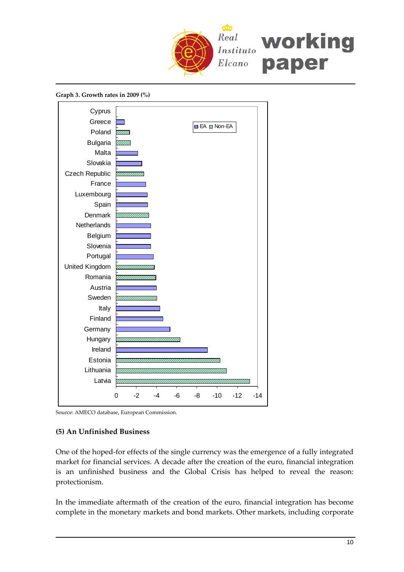

**Graph 3. Growth rates in 2009 (%)**

<span id="page-9-0"></span>

Source: AMECO database, European Commission.

#### **(5) An Unfinished Business**

One of the hoped‐for effects of the single currency was the emergence of a fully integrated market for financial services. A decade after the creation of the euro, financial integration is an unfinished business and the Global Crisis has helped to reveal the reason: protectionism.

In the immediate aftermath of the creation of the euro, financial integration has become complete in the monetary markets and bond markets. Other markets, including corporate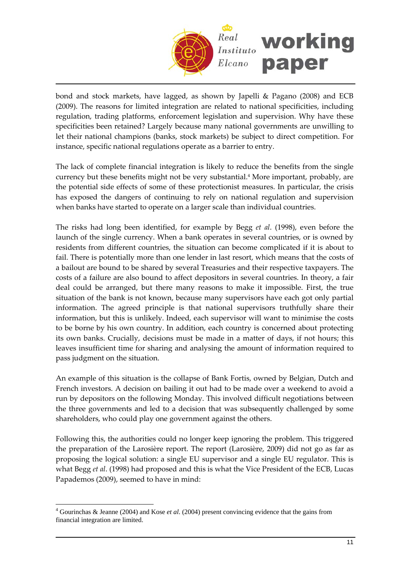

bond and stock markets, have lagged, as shown by Japelli & Pagano (2008) and ECB (2009). The reasons for limited integration are related to national specificities, including regulation, trading platforms, enforcement legislation and supervision. Why have these specificities been retained? Largely because many national governments are unwilling to let their national champions (banks, stock markets) be subject to direct competition. For instance, specific national regulations operate as a barrier to entry.

The lack of complete financial integration is likely to reduce the benefits from the single currency but these benefits might not be very substantial.[4](#page-10-0) More important, probably, are the potential side effects of some of these protectionist measures. In particular, the crisis has exposed the dangers of continuing to rely on national regulation and supervision when banks have started to operate on a larger scale than individual countries.

The risks had long been identified, for example by Begg *et al*. (1998), even before the launch of the single currency. When a bank operates in several countries, or is owned by residents from different countries, the situation can become complicated if it is about to fail. There is potentially more than one lender in last resort, which means that the costs of a bailout are bound to be shared by several Treasuries and their respective taxpayers. The costs of a failure are also bound to affect depositors in several countries. In theory, a fair deal could be arranged, but there many reasons to make it impossible. First, the true situation of the bank is not known, because many supervisors have each got only partial information. The agreed principle is that national supervisors truthfully share their information, but this is unlikely. Indeed, each supervisor will want to minimise the costs to be borne by his own country. In addition, each country is concerned about protecting its own banks. Crucially, decisions must be made in a matter of days, if not hours; this leaves insufficient time for sharing and analysing the amount of information required to pass judgment on the situation.

An example of this situation is the collapse of Bank Fortis, owned by Belgian, Dutch and French investors. A decision on bailing it out had to be made over a weekend to avoid a run by depositors on the following Monday. This involved difficult negotiations between the three governments and led to a decision that was subsequently challenged by some shareholders, who could play one government against the others.

Following this, the authorities could no longer keep ignoring the problem. This triggered the preparation of the Larosière report. The report (Larosière, 2009) did not go as far as proposing the logical solution: a single EU supervisor and a single EU regulator. This is what Begg *et al*. (1998) had proposed and this is what the Vice President of the ECB, Lucas Papademos (2009), seemed to have in mind:

 $\overline{a}$ 

<span id="page-10-0"></span><sup>4</sup> Gourinchas & Jeanne (2004) and Kose *et al*. (2004) present convincing evidence that the gains from financial integration are limited.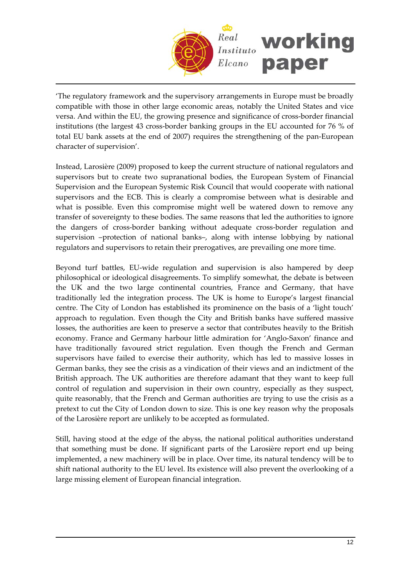

'The regulatory framework and the supervisory arrangements in Europe must be broadly compatible with those in other large economic areas, notably the United States and vice versa. And within the EU, the growing presence and significance of cross‐border financial institutions (the largest 43 cross‐border banking groups in the EU accounted for 76 % of total EU bank assets at the end of 2007) requires the strengthening of the pan‐European character of supervision'.

Instead, Larosière (2009) proposed to keep the current structure of national regulators and supervisors but to create two supranational bodies, the European System of Financial Supervision and the European Systemic Risk Council that would cooperate with national supervisors and the ECB. This is clearly a compromise between what is desirable and what is possible. Even this compromise might well be watered down to remove any transfer of sovereignty to these bodies. The same reasons that led the authorities to ignore the dangers of cross‐border banking without adequate cross‐border regulation and supervision –protection of national banks–, along with intense lobbying by national regulators and supervisors to retain their prerogatives, are prevailing one more time.

Beyond turf battles, EU-wide regulation and supervision is also hampered by deep philosophical or ideological disagreements. To simplify somewhat, the debate is between the UK and the two large continental countries, France and Germany, that have traditionally led the integration process. The UK is home to Europe's largest financial centre. The City of London has established its prominence on the basis of a 'light touch' approach to regulation. Even though the City and British banks have suffered massive losses, the authorities are keen to preserve a sector that contributes heavily to the British economy. France and Germany harbour little admiration for 'Anglo‐Saxon' finance and have traditionally favoured strict regulation. Even though the French and German supervisors have failed to exercise their authority, which has led to massive losses in German banks, they see the crisis as a vindication of their views and an indictment of the British approach. The UK authorities are therefore adamant that they want to keep full control of regulation and supervision in their own country, especially as they suspect, quite reasonably, that the French and German authorities are trying to use the crisis as a pretext to cut the City of London down to size. This is one key reason why the proposals of the Larosière report are unlikely to be accepted as formulated.

Still, having stood at the edge of the abyss, the national political authorities understand that something must be done. If significant parts of the Larosière report end up being implemented, a new machinery will be in place. Over time, its natural tendency will be to shift national authority to the EU level. Its existence will also prevent the overlooking of a large missing element of European financial integration.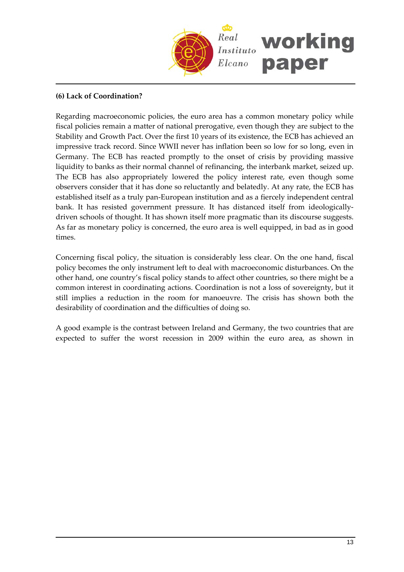

#### **(6) Lack of Coordination?**

Regarding macroeconomic policies, the euro area has a common monetary policy while fiscal policies remain a matter of national prerogative, even though they are subject to the Stability and Growth Pact. Over the first 10 years of its existence, the ECB has achieved an impressive track record. Since WWII never has inflation been so low for so long, even in Germany. The ECB has reacted promptly to the onset of crisis by providing massive liquidity to banks as their normal channel of refinancing, the interbank market, seized up. The ECB has also appropriately lowered the policy interest rate, even though some observers consider that it has done so reluctantly and belatedly. At any rate, the ECB has established itself as a truly pan‐European institution and as a fiercely independent central bank. It has resisted government pressure. It has distanced itself from ideologically‐ driven schools of thought. It has shown itself more pragmatic than its discourse suggests. As far as monetary policy is concerned, the euro area is well equipped, in bad as in good times.

Concerning fiscal policy, the situation is considerably less clear. On the one hand, fiscal policy becomes the only instrument left to deal with macroeconomic disturbances. On the other hand, one country's fiscal policy stands to affect other countries, so there might be a common interest in coordinating actions. Coordination is not a loss of sovereignty, but it still implies a reduction in the room for manoeuvre. The crisis has shown both the desirability of coordination and the difficulties of doing so.

A good example is the contrast between Ireland and Germany, the two countries that are expected to suffer the worst [recession](#page-9-0) in 2009 within the euro area, as shown in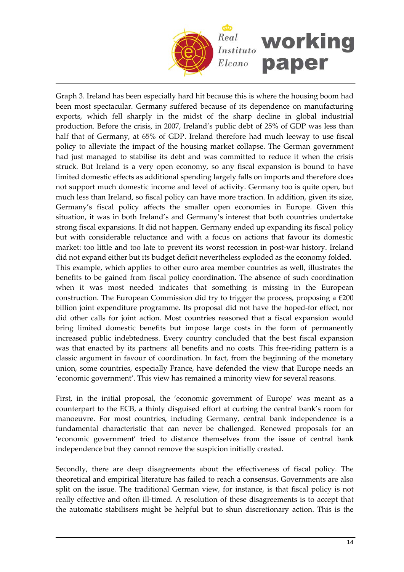

Graph 3. Ireland has been especially hard hit because this is where the housing boom had been most spectacular. Germany suffered because of its dependence on manufacturing exports, which fell sharply in the midst of the sharp decline in global industrial production. Before the crisis, in 2007, Ireland's public debt of 25% of GDP was less than half that of Germany, at 65% of GDP. Ireland therefore had much leeway to use fiscal policy to alleviate the impact of the housing market collapse. The German government had just managed to stabilise its debt and was committed to reduce it when the crisis struck. But Ireland is a very open economy, so any fiscal expansion is bound to have limited domestic effects as additional spending largely falls on imports and therefore does not support much domestic income and level of activity. Germany too is quite open, but much less than Ireland, so fiscal policy can have more traction. In addition, given its size, Germany's fiscal policy affects the smaller open economies in Europe. Given this situation, it was in both Ireland's and Germany's interest that both countries undertake strong fiscal expansions. It did not happen. Germany ended up expanding its fiscal policy but with considerable reluctance and with a focus on actions that favour its domestic market: too little and too late to prevent its worst recession in post-war history. Ireland did not expand either but its budget deficit nevertheless exploded as the economy folded. This example, which applies to other euro area member countries as well, illustrates the benefits to be gained from fiscal policy coordination. The absence of such coordination when it was most needed indicates that something is missing in the European construction. The European Commission did try to trigger the process, proposing a  $\epsilon$ 200 billion joint expenditure programme. Its proposal did not have the hoped‐for effect, nor did other calls for joint action. Most countries reasoned that a fiscal expansion would bring limited domestic benefits but impose large costs in the form of permanently increased public indebtedness. Every country concluded that the best fiscal expansion was that enacted by its partners: all benefits and no costs. This free‐riding pattern is a classic argument in favour of coordination. In fact, from the beginning of the monetary union, some countries, especially France, have defended the view that Europe needs an 'economic government'. This view has remained a minority view for several reasons.

First, in the initial proposal, the 'economic government of Europe' was meant as a counterpart to the ECB, a thinly disguised effort at curbing the central bank's room for manoeuvre. For most countries, including Germany, central bank independence is a fundamental characteristic that can never be challenged. Renewed proposals for an 'economic government' tried to distance themselves from the issue of central bank independence but they cannot remove the suspicion initially created.

Secondly, there are deep disagreements about the effectiveness of fiscal policy. The theoretical and empirical literature has failed to reach a consensus. Governments are also split on the issue. The traditional German view, for instance, is that fiscal policy is not really effective and often ill-timed. A resolution of these disagreements is to accept that the automatic stabilisers might be helpful but to shun discretionary action. This is the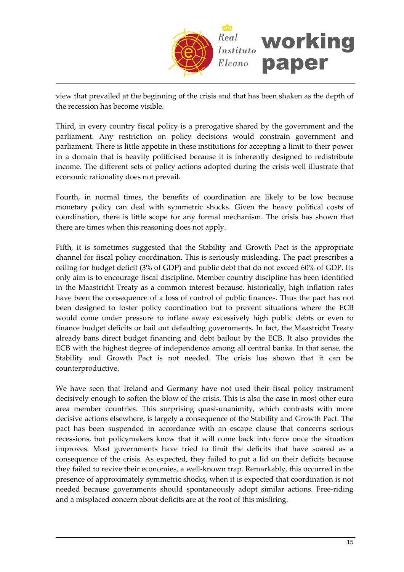

view that prevailed at the beginning of the crisis and that has been shaken as the depth of the recession has become visible.

Third, in every country fiscal policy is a prerogative shared by the government and the parliament. Any restriction on policy decisions would constrain government and parliament. There is little appetite in these institutions for accepting a limit to their power in a domain that is heavily politicised because it is inherently designed to redistribute income. The different sets of policy actions adopted during the crisis well illustrate that economic rationality does not prevail.

Fourth, in normal times, the benefits of coordination are likely to be low because monetary policy can deal with symmetric shocks. Given the heavy political costs of coordination, there is little scope for any formal mechanism. The crisis has shown that there are times when this reasoning does not apply.

Fifth, it is sometimes suggested that the Stability and Growth Pact is the appropriate channel for fiscal policy coordination. This is seriously misleading. The pact prescribes a ceiling for budget deficit (3% of GDP) and public debt that do not exceed 60% of GDP. Its only aim is to encourage fiscal discipline. Member country discipline has been identified in the Maastricht Treaty as a common interest because, historically, high inflation rates have been the consequence of a loss of control of public finances. Thus the pact has not been designed to foster policy coordination but to prevent situations where the ECB would come under pressure to inflate away excessively high public debts or even to finance budget deficits or bail out defaulting governments. In fact, the Maastricht Treaty already bans direct budget financing and debt bailout by the ECB. It also provides the ECB with the highest degree of independence among all central banks. In that sense, the Stability and Growth Pact is not needed. The crisis has shown that it can be counterproductive.

We have seen that Ireland and Germany have not used their fiscal policy instrument decisively enough to soften the blow of the crisis. This is also the case in most other euro area member countries. This surprising quasi-unanimity, which contrasts with more decisive actions elsewhere, is largely a consequence of the Stability and Growth Pact. The pact has been suspended in accordance with an escape clause that concerns serious recessions, but policymakers know that it will come back into force once the situation improves. Most governments have tried to limit the deficits that have soared as a consequence of the crisis. As expected, they failed to put a lid on their deficits because they failed to revive their economies, a well‐known trap. Remarkably, this occurred in the presence of approximately symmetric shocks, when it is expected that coordination is not needed because governments should spontaneously adopt similar actions. Free‐riding and a misplaced concern about deficits are at the root of this misfiring.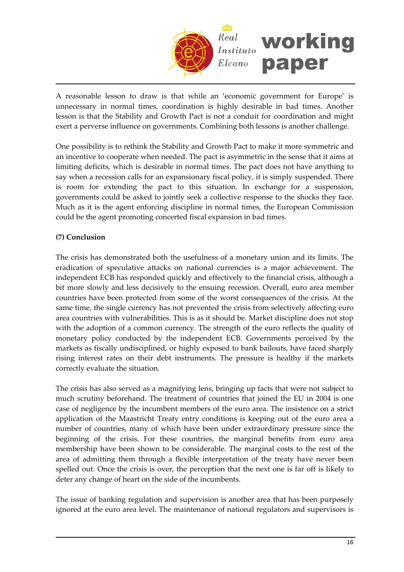

A reasonable lesson to draw is that while an 'economic government for Europe' is unnecessary in normal times, coordination is highly desirable in bad times. Another lesson is that the Stability and Growth Pact is not a conduit for coordination and might exert a perverse influence on governments. Combining both lessons is another challenge.

One possibility is to rethink the Stability and Growth Pact to make it more symmetric and an incentive to cooperate when needed. The pact is asymmetric in the sense that it aims at limiting deficits, which is desirable in normal times. The pact does not have anything to say when a recession calls for an expansionary fiscal policy, it is simply suspended. There is room for extending the pact to this situation. In exchange for a suspension, governments could be asked to jointly seek a collective response to the shocks they face. Much as it is the agent enforcing discipline in normal times, the European Commission could be the agent promoting concerted fiscal expansion in bad times.

## **(7) Conclusion**

The crisis has demonstrated both the usefulness of a monetary union and its limits. The eradication of speculative attacks on national currencies is a major achievement. The independent ECB has responded quickly and effectively to the financial crisis, although a bit more slowly and less decisively to the ensuing recession. Overall, euro area member countries have been protected from some of the worst consequences of the crisis. At the same time, the single currency has not prevented the crisis from selectively affecting euro area countries with vulnerabilities. This is as it should be. Market discipline does not stop with the adoption of a common currency. The strength of the euro reflects the quality of monetary policy conducted by the independent ECB. Governments perceived by the markets as fiscally undisciplined, or highly exposed to bank bailouts, have faced sharply rising interest rates on their debt instruments. The pressure is healthy if the markets correctly evaluate the situation.

The crisis has also served as a magnifying lens, bringing up facts that were not subject to much scrutiny beforehand. The treatment of countries that joined the EU in 2004 is one case of negligence by the incumbent members of the euro area. The insistence on a strict application of the Maastricht Treaty entry conditions is keeping out of the euro area a number of countries, many of which have been under extraordinary pressure since the beginning of the crisis. For these countries, the marginal benefits from euro area membership have been shown to be considerable. The marginal costs to the rest of the area of admitting them through a flexible interpretation of the treaty have never been spelled out. Once the crisis is over, the perception that the next one is far off is likely to deter any change of heart on the side of the incumbents.

The issue of banking regulation and supervision is another area that has been purposely ignored at the euro area level. The maintenance of national regulators and supervisors is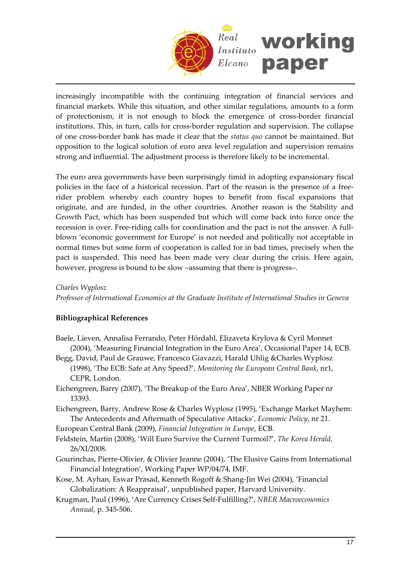

increasingly incompatible with the continuing integration of financial services and financial markets. While this situation, and other similar regulations, amounts to a form of protectionism, it is not enough to block the emergence of cross‐border financial institutions. This, in turn, calls for cross‐border regulation and supervision. The collapse of one cross‐border bank has made it clear that the *status quo* cannot be maintained. But opposition to the logical solution of euro area level regulation and supervision remains strong and influential. The adjustment process is therefore likely to be incremental.

The euro area governments have been surprisingly timid in adopting expansionary fiscal policies in the face of a historical recession. Part of the reason is the presence of a free‐ rider problem whereby each country hopes to benefit from fiscal expansions that originate, and are funded, in the other countries. Another reason is the Stability and Growth Pact, which has been suspended but which will come back into force once the recession is over. Free-riding calls for coordination and the pact is not the answer. A fullblown 'economic government for Europe' is not needed and politically not acceptable in normal times but some form of cooperation is called for in bad times, precisely when the pact is suspended. This need has been made very clear during the crisis. Here again, however, progress is bound to be slow –assuming that there is progress–.

*Charles Wyplosz Professor of International Economics at the Graduate Institute of International Studies in Geneva*

### **Bibliographical References**

- Baele, Lieven, Annalisa Ferrando, Peter Hördahl, Elizaveta Krylova & Cyril Monnet (2004), 'Measuring Financial Integration in the Euro Area', Occasional Paper 14, ECB.
- Begg, David, Paul de Grauwe, Francesco Giavazzi, Harald Uhlig &Charles Wyplosz (1998), 'The ECB: Safe at Any Speed?', *Monitoring the European Central Bank*, nr1, CEPR, London.
- Eichengreen, Barry (2007), 'The Breakup of the Euro Area', NBER Working Paper nr 13393.
- Eichengreen, Barry, Andrew Rose & Charles Wyplosz (1995), 'Exchange Market Mayhem: The Antecedents and Aftermath of Speculative Attacks', *Economic Policy*, nr 21.
- European Central Bank (2009), *Financial Integration in Europe*, ECB.
- Feldstein, Martin (2008), 'Will Euro Survive the Current Turmoil?', *The Korea Herald*, 26/XI/2008.
- Gourinchas, Pierre‐Olivier, & Olivier Jeanne (2004), 'The Elusive Gains from International Financial Integration', Working Paper WP/04/74, IMF.
- Kose, M. Ayhan, Eswar Prasad, Kenneth Rogoff & Shang‐Jin Wei (2004), 'Financial Globalization: A Reappraisal', unpublished paper, Harvard University.
- Krugman, Paul (1996), 'Are Currency Crises Self‐Fulfilling?', *NBER Macroeconomics Annual*, p. 345‐506.